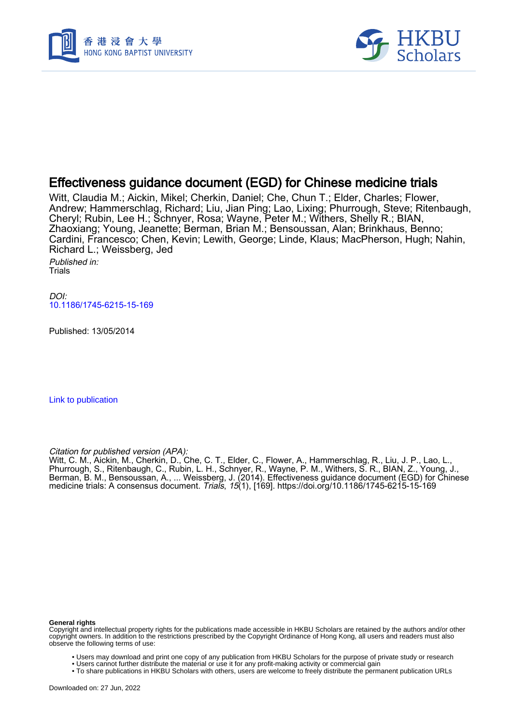



# Effectiveness guidance document (EGD) for Chinese medicine trials

Witt, Claudia M.; Aickin, Mikel; Cherkin, Daniel; Che, Chun T.; Elder, Charles; Flower, Andrew; Hammerschlag, Richard; Liu, Jian Ping; Lao, Lixing; Phurrough, Steve; Ritenbaugh, Cheryl; Rubin, Lee H.; Schnyer, Rosa; Wayne, Peter M.; Withers, Shelly R.; BIAN, Zhaoxiang; Young, Jeanette; Berman, Brian M.; Bensoussan, Alan; Brinkhaus, Benno; Cardini, Francesco; Chen, Kevin; Lewith, George; Linde, Klaus; MacPherson, Hugh; Nahin, Richard L.; Weissberg, Jed

Published in: Trials

DOI: [10.1186/1745-6215-15-169](https://doi.org/10.1186/1745-6215-15-169)

Published: 13/05/2014

[Link to publication](https://scholars.hkbu.edu.hk/en/publications/371e4223-12c5-4caa-b6c9-ff81030a7b50)

Citation for published version (APA):

Witt, C. M., Aickin, M., Cherkin, D., Che, C. T., Elder, C., Flower, A., Hammerschlag, R., Liu, J. P., Lao, L., Phurrough, S., Ritenbaugh, C., Rubin, L. H., Schnyer, R., Wayne, P. M., Withers, S. R., BIAN, Z., Young, J., Berman, B. M., Bensoussan, A., ... Weissberg, J. (2014). Effectiveness guidance document (EGD) for Chinese medicine trials: A consensus document. Trials, 15(1), [169].<https://doi.org/10.1186/1745-6215-15-169>

**General rights**

Copyright and intellectual property rights for the publications made accessible in HKBU Scholars are retained by the authors and/or other copyright owners. In addition to the restrictions prescribed by the Copyright Ordinance of Hong Kong, all users and readers must also observe the following terms of use:

- Users may download and print one copy of any publication from HKBU Scholars for the purpose of private study or research
- Users cannot further distribute the material or use it for any profit-making activity or commercial gain
- To share publications in HKBU Scholars with others, users are welcome to freely distribute the permanent publication URLs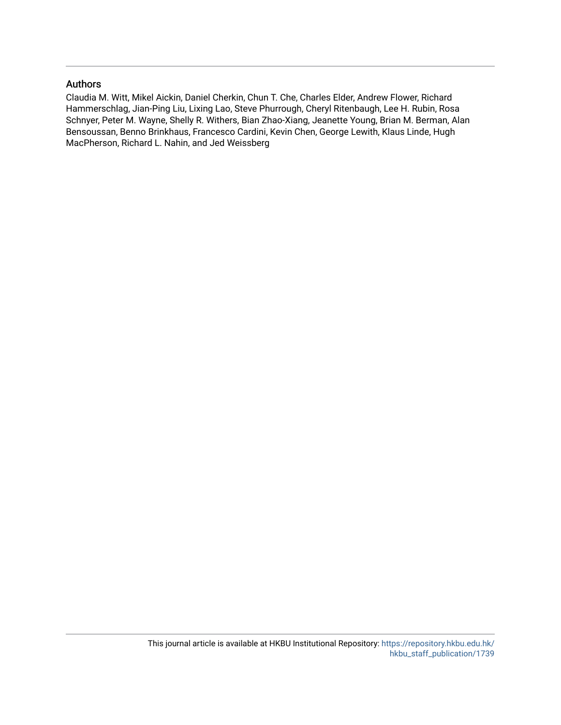# Authors

Claudia M. Witt, Mikel Aickin, Daniel Cherkin, Chun T. Che, Charles Elder, Andrew Flower, Richard Hammerschlag, Jian-Ping Liu, Lixing Lao, Steve Phurrough, Cheryl Ritenbaugh, Lee H. Rubin, Rosa Schnyer, Peter M. Wayne, Shelly R. Withers, Bian Zhao-Xiang, Jeanette Young, Brian M. Berman, Alan Bensoussan, Benno Brinkhaus, Francesco Cardini, Kevin Chen, George Lewith, Klaus Linde, Hugh MacPherson, Richard L. Nahin, and Jed Weissberg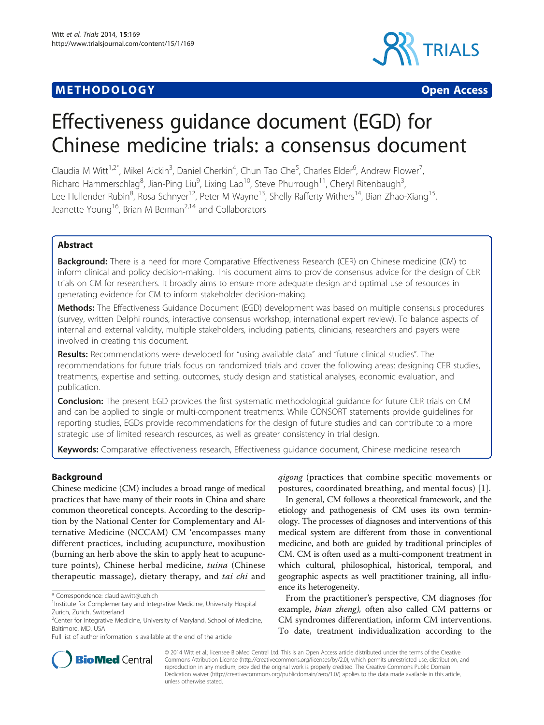# **METHODOLOGY CONSUMER ACCESS**





# Effectiveness guidance document (EGD) for Chinese medicine trials: a consensus document

Claudia M Witt<sup>1,2\*</sup>, Mikel Aickin<sup>3</sup>, Daniel Cherkin<sup>4</sup>, Chun Tao Che<sup>5</sup>, Charles Elder<sup>6</sup>, Andrew Flower<sup>7</sup> , Richard Hammerschlag<sup>8</sup>, Jian-Ping Liu<sup>9</sup>, Lixing Lao<sup>10</sup>, Steve Phurrough<sup>11</sup>, Cheryl Ritenbaugh<sup>3</sup> , Lee Hullender Rubin<sup>8</sup>, Rosa Schnyer<sup>12</sup>, Peter M Wayne<sup>13</sup>, Shelly Rafferty Withers<sup>14</sup>, Bian Zhao-Xiang<sup>15</sup>, Jeanette Young<sup>16</sup>, Brian M Berman<sup>2,14</sup> and Collaborators

# Abstract

Background: There is a need for more Comparative Effectiveness Research (CER) on Chinese medicine (CM) to inform clinical and policy decision-making. This document aims to provide consensus advice for the design of CER trials on CM for researchers. It broadly aims to ensure more adequate design and optimal use of resources in generating evidence for CM to inform stakeholder decision-making.

Methods: The Effectiveness Guidance Document (EGD) development was based on multiple consensus procedures (survey, written Delphi rounds, interactive consensus workshop, international expert review). To balance aspects of internal and external validity, multiple stakeholders, including patients, clinicians, researchers and payers were involved in creating this document.

Results: Recommendations were developed for "using available data" and "future clinical studies". The recommendations for future trials focus on randomized trials and cover the following areas: designing CER studies, treatments, expertise and setting, outcomes, study design and statistical analyses, economic evaluation, and publication.

Conclusion: The present EGD provides the first systematic methodological quidance for future CER trials on CM and can be applied to single or multi-component treatments. While CONSORT statements provide guidelines for reporting studies, EGDs provide recommendations for the design of future studies and can contribute to a more strategic use of limited research resources, as well as greater consistency in trial design.

Keywords: Comparative effectiveness research, Effectiveness quidance document, Chinese medicine research

# Background

Chinese medicine (CM) includes a broad range of medical practices that have many of their roots in China and share common theoretical concepts. According to the description by the National Center for Complementary and Alternative Medicine (NCCAM) CM 'encompasses many different practices, including acupuncture, moxibustion (burning an herb above the skin to apply heat to acupuncture points), Chinese herbal medicine, tuina (Chinese therapeutic massage), dietary therapy, and tai chi and

qigong (practices that combine specific movements or postures, coordinated breathing, and mental focus) [1].

In general, CM follows a theoretical framework, and the etiology and pathogenesis of CM uses its own terminology. The processes of diagnoses and interventions of this medical system are different from those in conventional medicine, and both are guided by traditional principles of CM. CM is often used as a multi-component treatment in which cultural, philosophical, historical, temporal, and geographic aspects as well practitioner training, all influence its heterogeneity.

From the practitioner's perspective, CM diagnoses (for example, *bian zheng*), often also called CM patterns or CM syndromes differentiation, inform CM interventions. To date, treatment individualization according to the



© 2014 Witt et al.; licensee BioMed Central Ltd. This is an Open Access article distributed under the terms of the Creative Commons Attribution License [\(http://creativecommons.org/licenses/by/2.0\)](http://creativecommons.org/licenses/by/2.0), which permits unrestricted use, distribution, and reproduction in any medium, provided the original work is properly credited. The Creative Commons Public Domain Dedication waiver [\(http://creativecommons.org/publicdomain/zero/1.0/](http://creativecommons.org/publicdomain/zero/1.0/)) applies to the data made available in this article, unless otherwise stated.

<sup>\*</sup> Correspondence: [claudia.witt@uzh.ch](mailto:claudia.witt@uzh.ch) <sup>1</sup>

<sup>&</sup>lt;sup>1</sup> Institute for Complementary and Integrative Medicine, University Hospital Zurich, Zurich, Switzerland

<sup>&</sup>lt;sup>2</sup>Center for Integrative Medicine, University of Maryland, School of Medicine, Baltimore, MD, USA

Full list of author information is available at the end of the article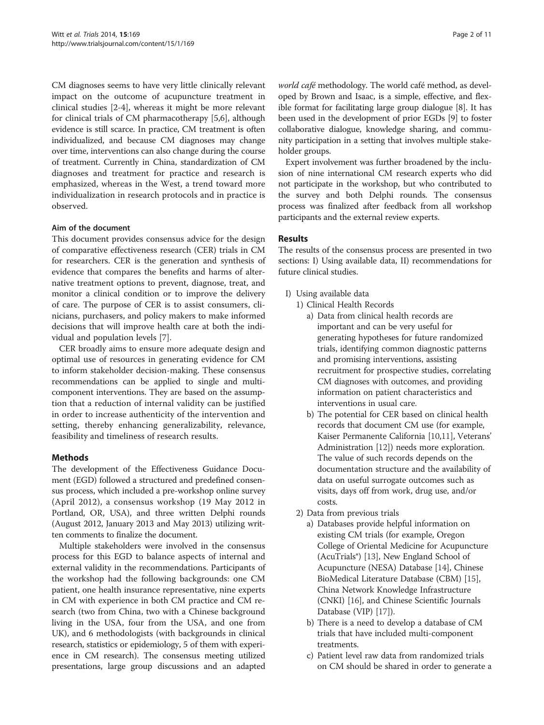CM diagnoses seems to have very little clinically relevant impact on the outcome of acupuncture treatment in clinical studies [2-4], whereas it might be more relevant for clinical trials of CM pharmacotherapy [5,6], although evidence is still scarce. In practice, CM treatment is often individualized, and because CM diagnoses may change over time, interventions can also change during the course of treatment. Currently in China, standardization of CM diagnoses and treatment for practice and research is emphasized, whereas in the West, a trend toward more individualization in research protocols and in practice is observed.

#### Aim of the document

This document provides consensus advice for the design of comparative effectiveness research (CER) trials in CM for researchers. CER is the generation and synthesis of evidence that compares the benefits and harms of alternative treatment options to prevent, diagnose, treat, and monitor a clinical condition or to improve the delivery of care. The purpose of CER is to assist consumers, clinicians, purchasers, and policy makers to make informed decisions that will improve health care at both the individual and population levels [7].

CER broadly aims to ensure more adequate design and optimal use of resources in generating evidence for CM to inform stakeholder decision-making. These consensus recommendations can be applied to single and multicomponent interventions. They are based on the assumption that a reduction of internal validity can be justified in order to increase authenticity of the intervention and setting, thereby enhancing generalizability, relevance, feasibility and timeliness of research results.

# Methods

The development of the Effectiveness Guidance Document (EGD) followed a structured and predefined consensus process, which included a pre-workshop online survey (April 2012), a consensus workshop (19 May 2012 in Portland, OR, USA), and three written Delphi rounds (August 2012, January 2013 and May 2013) utilizing written comments to finalize the document.

Multiple stakeholders were involved in the consensus process for this EGD to balance aspects of internal and external validity in the recommendations. Participants of the workshop had the following backgrounds: one CM patient, one health insurance representative, nine experts in CM with experience in both CM practice and CM research (two from China, two with a Chinese background living in the USA, four from the USA, and one from UK), and 6 methodologists (with backgrounds in clinical research, statistics or epidemiology, 5 of them with experience in CM research). The consensus meeting utilized presentations, large group discussions and an adapted

world café methodology. The world café method, as developed by Brown and Isaac, is a simple, effective, and flexible format for facilitating large group dialogue [8]. It has been used in the development of prior EGDs [9] to foster collaborative dialogue, knowledge sharing, and community participation in a setting that involves multiple stakeholder groups.

Expert involvement was further broadened by the inclusion of nine international CM research experts who did not participate in the workshop, but who contributed to the survey and both Delphi rounds. The consensus process was finalized after feedback from all workshop participants and the external review experts.

### **Results**

The results of the consensus process are presented in two sections: I) Using available data, II) recommendations for future clinical studies.

- I) Using available data
	- 1) Clinical Health Records
		- a) Data from clinical health records are important and can be very useful for generating hypotheses for future randomized trials, identifying common diagnostic patterns and promising interventions, assisting recruitment for prospective studies, correlating CM diagnoses with outcomes, and providing information on patient characteristics and interventions in usual care.
		- b) The potential for CER based on clinical health records that document CM use (for example, Kaiser Permanente California [10,11], Veterans' Administration [12]) needs more exploration. The value of such records depends on the documentation structure and the availability of data on useful surrogate outcomes such as visits, days off from work, drug use, and/or costs.
	- 2) Data from previous trials
		- a) Databases provide helpful information on existing CM trials (for example, Oregon College of Oriental Medicine for Acupuncture (AcuTrials®) [13], New England School of Acupuncture (NESA) Database [14], Chinese BioMedical Literature Database (CBM) [15], China Network Knowledge Infrastructure (CNKI) [16], and Chinese Scientific Journals Database (VIP) [17]).
		- b) There is a need to develop a database of CM trials that have included multi-component treatments.
		- c) Patient level raw data from randomized trials on CM should be shared in order to generate a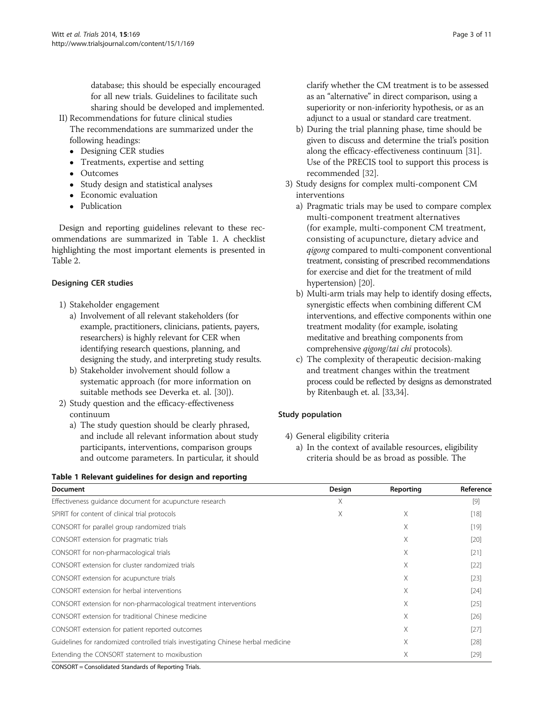database; this should be especially encouraged for all new trials. Guidelines to facilitate such sharing should be developed and implemented.

- II) Recommendations for future clinical studies The recommendations are summarized under the following headings:
	- Designing CER studies
	- Treatments, expertise and setting
	- Outcomes
	- Study design and statistical analyses
	- Economic evaluation
	- Publication

Design and reporting guidelines relevant to these recommendations are summarized in Table 1. A checklist highlighting the most important elements is presented in Table 2.

# Designing CER studies

- 1) Stakeholder engagement
	- a) Involvement of all relevant stakeholders (for example, practitioners, clinicians, patients, payers, researchers) is highly relevant for CER when identifying research questions, planning, and designing the study, and interpreting study results.
	- b) Stakeholder involvement should follow a systematic approach (for more information on suitable methods see Deverka et. al. [30]).
- 2) Study question and the efficacy-effectiveness continuum
	- a) The study question should be clearly phrased, and include all relevant information about study participants, interventions, comparison groups and outcome parameters. In particular, it should

clarify whether the CM treatment is to be assessed as an "alternative" in direct comparison, using a superiority or non-inferiority hypothesis, or as an adjunct to a usual or standard care treatment.

- b) During the trial planning phase, time should be given to discuss and determine the trial's position along the efficacy-effectiveness continuum [31]. Use of the PRECIS tool to support this process is recommended [32].
- 3) Study designs for complex multi-component CM interventions
	- a) Pragmatic trials may be used to compare complex multi-component treatment alternatives (for example, multi-component CM treatment, consisting of acupuncture, dietary advice and qigong compared to multi-component conventional treatment, consisting of prescribed recommendations for exercise and diet for the treatment of mild hypertension) [20].
	- b) Multi-arm trials may help to identify dosing effects, synergistic effects when combining different CM interventions, and effective components within one treatment modality (for example, isolating meditative and breathing components from comprehensive qigong/tai chi protocols).
	- c) The complexity of therapeutic decision-making and treatment changes within the treatment process could be reflected by designs as demonstrated by Ritenbaugh et. al. [33,34].

# Study population

- 4) General eligibility criteria
	- a) In the context of available resources, eligibility criteria should be as broad as possible. The

# Table 1 Relevant guidelines for design and reporting

| <b>Document</b>                                                                   | Design | Reporting | Reference |
|-----------------------------------------------------------------------------------|--------|-----------|-----------|
| Effectiveness quidance document for acupuncture research                          | X      |           | $[9]$     |
| SPIRIT for content of clinical trial protocols                                    | Χ      | Χ         | [18]      |
| CONSORT for parallel group randomized trials                                      |        | X         | [19]      |
| CONSORT extension for pragmatic trials                                            |        | X         | $[20]$    |
| CONSORT for non-pharmacological trials                                            |        | Χ         | [21]      |
| CONSORT extension for cluster randomized trials                                   |        | X         | $[22]$    |
| CONSORT extension for acupuncture trials                                          |        | X         | $[23]$    |
| CONSORT extension for herbal interventions                                        |        | Χ         | $[24]$    |
| CONSORT extension for non-pharmacological treatment interventions                 |        | X         | $[25]$    |
| CONSORT extension for traditional Chinese medicine                                |        | X         | $[26]$    |
| CONSORT extension for patient reported outcomes                                   |        | Χ         | [27]      |
| Guidelines for randomized controlled trials investigating Chinese herbal medicine |        | X         | $[28]$    |
| Extending the CONSORT statement to moxibustion                                    |        | Χ         | $[29]$    |
|                                                                                   |        |           |           |

CONSORT = Consolidated Standards of Reporting Trials.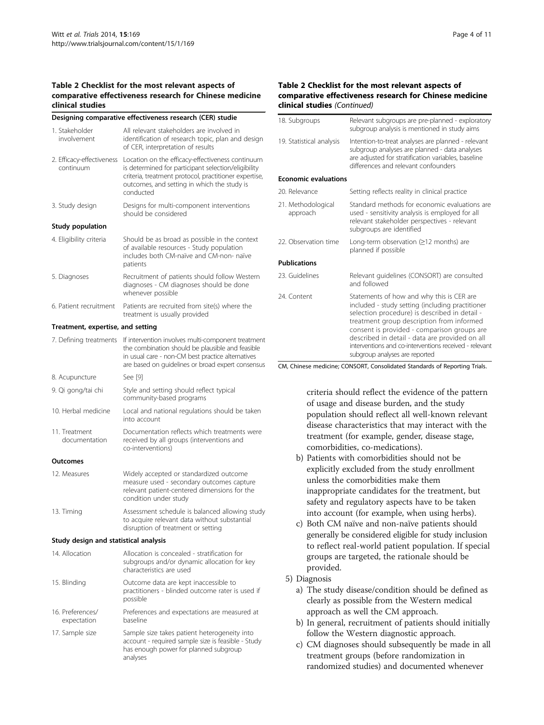#### Table 2 Checklist for the most relevant aspects of comparative effectiveness research for Chinese medicine clinical studies

|                                        | Designing comparative effectiveness research (CER) studie                                                                                                                                                                    |
|----------------------------------------|------------------------------------------------------------------------------------------------------------------------------------------------------------------------------------------------------------------------------|
| 1. Stakeholder<br>involvement          | All relevant stakeholders are involved in<br>identification of research topic, plan and design<br>of CER, interpretation of results                                                                                          |
| 2. Efficacy-effectiveness<br>continuum | Location on the efficacy-effectiveness continuum<br>is determined for participant selection/eligibility<br>criteria, treatment protocol, practitioner expertise,<br>outcomes, and setting in which the study is<br>conducted |
| 3. Study design                        | Designs for multi-component interventions<br>should be considered                                                                                                                                                            |
| <b>Study population</b>                |                                                                                                                                                                                                                              |
| 4. Eligibility criteria                | Should be as broad as possible in the context<br>of available resources - Study population<br>includes both CM-naïve and CM-non- naïve<br>patients                                                                           |
| 5. Diagnoses                           | Recruitment of patients should follow Western<br>diagnoses - CM diagnoses should be done<br>whenever possible                                                                                                                |
| 6. Patient recruitment                 | Patients are recruited from site(s) where the<br>treatment is usually provided                                                                                                                                               |
| Treatment, expertise, and setting      |                                                                                                                                                                                                                              |
| 7. Defining treatments                 | If intervention involves multi-component treatment<br>the combination should be plausible and feasible<br>in usual care - non-CM best practice alternatives<br>are based on guidelines or broad expert consensus             |
| 8. Acupuncture                         | See [9]                                                                                                                                                                                                                      |
| 9. Qi gong/tai chi                     | Style and setting should reflect typical<br>community-based programs                                                                                                                                                         |
| 10. Herbal medicine                    | Local and national regulations should be taken<br>into account                                                                                                                                                               |
| 11. Treatment<br>documentation         | Documentation reflects which treatments were<br>received by all groups (interventions and<br>co-interventions)                                                                                                               |
| Outcomes                               |                                                                                                                                                                                                                              |
| 12. Measures                           | Widely accepted or standardized outcome<br>measure used - secondary outcomes capture<br>relevant patient-centered dimensions for the<br>condition under study                                                                |
| 13. Timing                             | Assessment schedule is balanced allowing study<br>to acquire relevant data without substantial<br>disruption of treatment or setting                                                                                         |
| Study design and statistical analysis  |                                                                                                                                                                                                                              |
| 14. Allocation                         | Allocation is concealed - stratification for<br>subgroups and/or dynamic allocation for key<br>characteristics are used                                                                                                      |
| 15. Blinding                           | Outcome data are kept inaccessible to<br>practitioners - blinded outcome rater is used if<br>possible                                                                                                                        |
| 16. Preferences/                       | Preferences and expectations are measured at                                                                                                                                                                                 |

17. Sample size Sample size takes patient heterogeneity into account - required sample size is feasible - Study has enough power for planned subgroup analyses

baseline

expectation

#### Table 2 Checklist for the most relevant aspects of comparative effectiveness research for Chinese medicine clinical studies (Continued)

| 18. Subgroups                  | Relevant subgroups are pre-planned - exploratory<br>subgroup analysis is mentioned in study aims                                                                                                                                                                                                                                                                                         |
|--------------------------------|------------------------------------------------------------------------------------------------------------------------------------------------------------------------------------------------------------------------------------------------------------------------------------------------------------------------------------------------------------------------------------------|
| 19. Statistical analysis       | Intention-to-treat analyses are planned - relevant<br>subgroup analyses are planned - data analyses<br>are adjusted for stratification variables, baseline<br>differences and relevant confounders                                                                                                                                                                                       |
| <b>Economic evaluations</b>    |                                                                                                                                                                                                                                                                                                                                                                                          |
| 20. Relevance                  | Setting reflects reality in clinical practice                                                                                                                                                                                                                                                                                                                                            |
| 21. Methodological<br>approach | Standard methods for economic evaluations are<br>used - sensitivity analysis is employed for all<br>relevant stakeholder perspectives - relevant<br>subgroups are identified                                                                                                                                                                                                             |
| 22. Observation time           | Long-term observation (≥12 months) are<br>planned if possible                                                                                                                                                                                                                                                                                                                            |
| <b>Publications</b>            |                                                                                                                                                                                                                                                                                                                                                                                          |
| 23. Guidelines                 | Relevant quidelines (CONSORT) are consulted<br>and followed                                                                                                                                                                                                                                                                                                                              |
| 24. Content                    | Statements of how and why this is CER are<br>included - study setting (including practitioner<br>selection procedure) is described in detail -<br>treatment group description from informed<br>consent is provided - comparison groups are<br>described in detail - data are provided on all<br>interventions and co-interventions received - relevant<br>subgroup analyses are reported |

CM, Chinese medicine; CONSORT, Consolidated Standards of Reporting Trials.

criteria should reflect the evidence of the pattern of usage and disease burden, and the study population should reflect all well-known relevant disease characteristics that may interact with the treatment (for example, gender, disease stage, comorbidities, co-medications).

- b) Patients with comorbidities should not be explicitly excluded from the study enrollment unless the comorbidities make them inappropriate candidates for the treatment, but safety and regulatory aspects have to be taken into account (for example, when using herbs).
- c) Both CM naïve and non-naïve patients should generally be considered eligible for study inclusion to reflect real-world patient population. If special groups are targeted, the rationale should be provided.
- 5) Diagnosis
	- a) The study disease/condition should be defined as clearly as possible from the Western medical approach as well the CM approach.
	- b) In general, recruitment of patients should initially follow the Western diagnostic approach.
	- c) CM diagnoses should subsequently be made in all treatment groups (before randomization in randomized studies) and documented whenever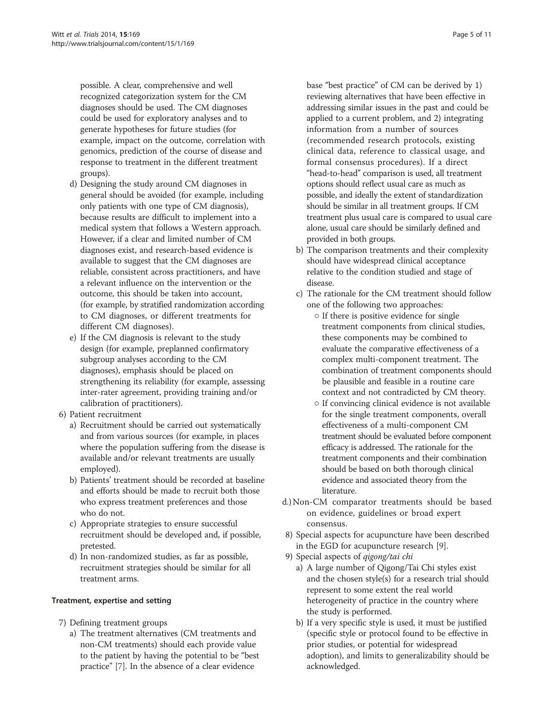possible. A clear, comprehensive and well recognized categorization system for the CM diagnoses should be used. The CM diagnoses could be used for exploratory analyses and to generate hypotheses for future studies (for example, impact on the outcome, correlation with genomics, prediction of the course of disease and response to treatment in the different treatment groups).

- d) Designing the study around CM diagnoses in general should be avoided (for example, including only patients with one type of CM diagnosis), because results are difficult to implement into a medical system that follows a Western approach. However, if a clear and limited number of CM diagnoses exist, and research-based evidence is available to suggest that the CM diagnoses are reliable, consistent across practitioners, and have a relevant influence on the intervention or the outcome, this should be taken into account, (for example, by stratified randomization according to CM diagnoses, or different treatments for different CM diagnoses).
- e) If the CM diagnosis is relevant to the study design (for example, preplanned confirmatory subgroup analyses according to the CM diagnoses), emphasis should be placed on strengthening its reliability (for example, assessing inter-rater agreement, providing training and/or calibration of practitioners).
- 6) Patient recruitment
	- a) Recruitment should be carried out systematically and from various sources (for example, in places where the population suffering from the disease is available and/or relevant treatments are usually employed).
	- b) Patients' treatment should be recorded at baseline and efforts should be made to recruit both those who express treatment preferences and those who do not.
	- c) Appropriate strategies to ensure successful recruitment should be developed and, if possible, pretested.
	- d) In non-randomized studies, as far as possible, recruitment strategies should be similar for all treatment arms.

# Treatment, expertise and setting

- 7) Defining treatment groups
	- a) The treatment alternatives (CM treatments and non-CM treatments) should each provide value to the patient by having the potential to be "best practice" [7]. In the absence of a clear evidence

base "best practice" of CM can be derived by 1) reviewing alternatives that have been effective in addressing similar issues in the past and could be applied to a current problem, and 2) integrating information from a number of sources (recommended research protocols, existing clinical data, reference to classical usage, and formal consensus procedures). If a direct "head-to-head" comparison is used, all treatment options should reflect usual care as much as possible, and ideally the extent of standardization should be similar in all treatment groups. If CM treatment plus usual care is compared to usual care alone, usual care should be similarly defined and provided in both groups.

- b) The comparison treatments and their complexity should have widespread clinical acceptance relative to the condition studied and stage of disease.
- c) The rationale for the CM treatment should follow one of the following two approaches:
	- If there is positive evidence for single treatment components from clinical studies, these components may be combined to evaluate the comparative effectiveness of a complex multi-component treatment. The combination of treatment components should be plausible and feasible in a routine care context and not contradicted by CM theory.
	- If convincing clinical evidence is not available for the single treatment components, overall effectiveness of a multi-component CM treatment should be evaluated before component efficacy is addressed. The rationale for the treatment components and their combination should be based on both thorough clinical evidence and associated theory from the literature.
- d.)Non-CM comparator treatments should be based on evidence, guidelines or broad expert consensus.
- 8) Special aspects for acupuncture have been described in the EGD for acupuncture research [9].
- 9) Special aspects of qigong/tai chi
	- a) A large number of Qigong/Tai Chi styles exist and the chosen style(s) for a research trial should represent to some extent the real world heterogeneity of practice in the country where the study is performed.
	- b) If a very specific style is used, it must be justified (specific style or protocol found to be effective in prior studies, or potential for widespread adoption), and limits to generalizability should be acknowledged.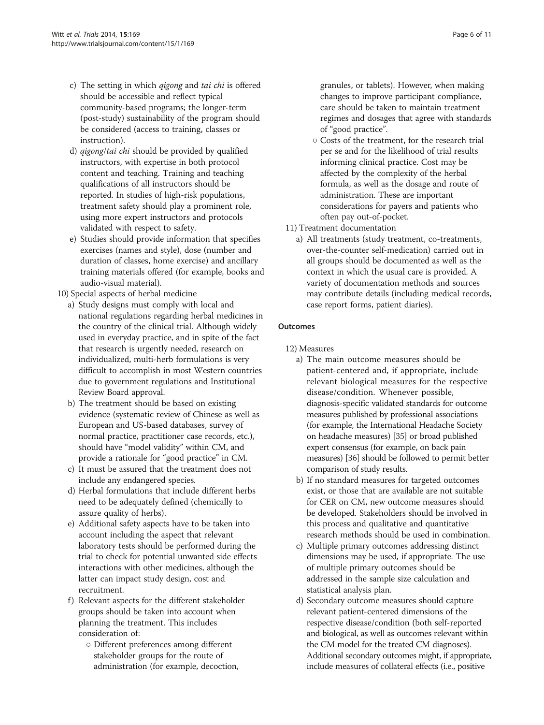- c) The setting in which qigong and tai chi is offered should be accessible and reflect typical community-based programs; the longer-term (post-study) sustainability of the program should be considered (access to training, classes or instruction).
- d) qigong/tai chi should be provided by qualified instructors, with expertise in both protocol content and teaching. Training and teaching qualifications of all instructors should be reported. In studies of high-risk populations, treatment safety should play a prominent role, using more expert instructors and protocols validated with respect to safety.
- e) Studies should provide information that specifies exercises (names and style), dose (number and duration of classes, home exercise) and ancillary training materials offered (for example, books and audio-visual material).

10) Special aspects of herbal medicine

- a) Study designs must comply with local and national regulations regarding herbal medicines in the country of the clinical trial. Although widely used in everyday practice, and in spite of the fact that research is urgently needed, research on individualized, multi-herb formulations is very difficult to accomplish in most Western countries due to government regulations and Institutional Review Board approval.
- b) The treatment should be based on existing evidence (systematic review of Chinese as well as European and US-based databases, survey of normal practice, practitioner case records, etc.), should have "model validity" within CM, and provide a rationale for "good practice" in CM.
- c) It must be assured that the treatment does not include any endangered species.
- d) Herbal formulations that include different herbs need to be adequately defined (chemically to assure quality of herbs).
- e) Additional safety aspects have to be taken into account including the aspect that relevant laboratory tests should be performed during the trial to check for potential unwanted side effects interactions with other medicines, although the latter can impact study design, cost and recruitment.
- f) Relevant aspects for the different stakeholder groups should be taken into account when planning the treatment. This includes consideration of:
	- Different preferences among different stakeholder groups for the route of administration (for example, decoction,

granules, or tablets). However, when making changes to improve participant compliance, care should be taken to maintain treatment regimes and dosages that agree with standards of "good practice".

- Costs of the treatment, for the research trial per se and for the likelihood of trial results informing clinical practice. Cost may be affected by the complexity of the herbal formula, as well as the dosage and route of administration. These are important considerations for payers and patients who often pay out-of-pocket.
- 11) Treatment documentation
	- a) All treatments (study treatment, co-treatments, over-the-counter self-medication) carried out in all groups should be documented as well as the context in which the usual care is provided. A variety of documentation methods and sources may contribute details (including medical records, case report forms, patient diaries).

# **Outcomes**

- 12) Measures
	- a) The main outcome measures should be patient-centered and, if appropriate, include relevant biological measures for the respective disease/condition. Whenever possible, diagnosis-specific validated standards for outcome measures published by professional associations (for example, the International Headache Society on headache measures) [35] or broad published expert consensus (for example, on back pain measures) [36] should be followed to permit better comparison of study results.
	- b) If no standard measures for targeted outcomes exist, or those that are available are not suitable for CER on CM, new outcome measures should be developed. Stakeholders should be involved in this process and qualitative and quantitative research methods should be used in combination.
	- c) Multiple primary outcomes addressing distinct dimensions may be used, if appropriate. The use of multiple primary outcomes should be addressed in the sample size calculation and statistical analysis plan.
	- d) Secondary outcome measures should capture relevant patient-centered dimensions of the respective disease/condition (both self-reported and biological, as well as outcomes relevant within the CM model for the treated CM diagnoses). Additional secondary outcomes might, if appropriate, include measures of collateral effects (i.e., positive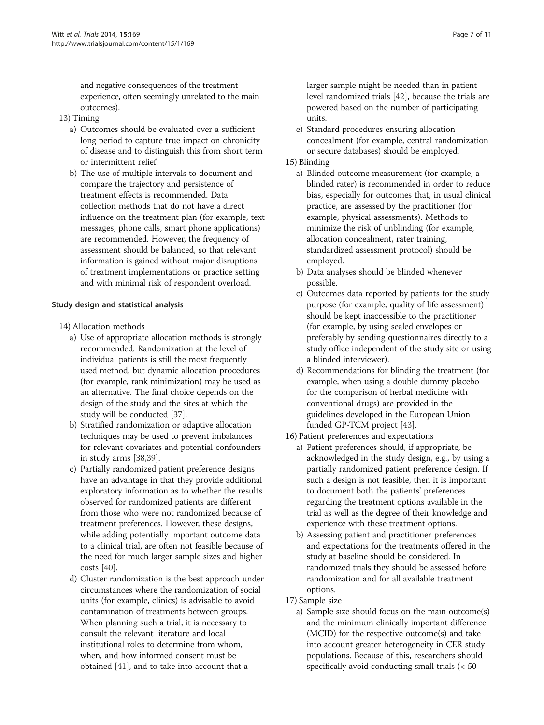and negative consequences of the treatment experience, often seemingly unrelated to the main outcomes).

- 13) Timing
	- a) Outcomes should be evaluated over a sufficient long period to capture true impact on chronicity of disease and to distinguish this from short term or intermittent relief.
	- b) The use of multiple intervals to document and compare the trajectory and persistence of treatment effects is recommended. Data collection methods that do not have a direct influence on the treatment plan (for example, text messages, phone calls, smart phone applications) are recommended. However, the frequency of assessment should be balanced, so that relevant information is gained without major disruptions of treatment implementations or practice setting and with minimal risk of respondent overload.

# Study design and statistical analysis

- 14) Allocation methods
	- a) Use of appropriate allocation methods is strongly recommended. Randomization at the level of individual patients is still the most frequently used method, but dynamic allocation procedures (for example, rank minimization) may be used as an alternative. The final choice depends on the design of the study and the sites at which the study will be conducted [37].
	- b) Stratified randomization or adaptive allocation techniques may be used to prevent imbalances for relevant covariates and potential confounders in study arms [38,39].
	- c) Partially randomized patient preference designs have an advantage in that they provide additional exploratory information as to whether the results observed for randomized patients are different from those who were not randomized because of treatment preferences. However, these designs, while adding potentially important outcome data to a clinical trial, are often not feasible because of the need for much larger sample sizes and higher costs [40].
	- d) Cluster randomization is the best approach under circumstances where the randomization of social units (for example, clinics) is advisable to avoid contamination of treatments between groups. When planning such a trial, it is necessary to consult the relevant literature and local institutional roles to determine from whom, when, and how informed consent must be obtained [41], and to take into account that a

larger sample might be needed than in patient level randomized trials [42], because the trials are powered based on the number of participating units.

e) Standard procedures ensuring allocation concealment (for example, central randomization or secure databases) should be employed.

### 15) Blinding

- a) Blinded outcome measurement (for example, a blinded rater) is recommended in order to reduce bias, especially for outcomes that, in usual clinical practice, are assessed by the practitioner (for example, physical assessments). Methods to minimize the risk of unblinding (for example, allocation concealment, rater training, standardized assessment protocol) should be employed.
- b) Data analyses should be blinded whenever possible.
- c) Outcomes data reported by patients for the study purpose (for example, quality of life assessment) should be kept inaccessible to the practitioner (for example, by using sealed envelopes or preferably by sending questionnaires directly to a study office independent of the study site or using a blinded interviewer).
- d) Recommendations for blinding the treatment (for example, when using a double dummy placebo for the comparison of herbal medicine with conventional drugs) are provided in the guidelines developed in the European Union funded GP-TCM project [43].
- 16) Patient preferences and expectations
	- a) Patient preferences should, if appropriate, be acknowledged in the study design, e.g., by using a partially randomized patient preference design. If such a design is not feasible, then it is important to document both the patients' preferences regarding the treatment options available in the trial as well as the degree of their knowledge and experience with these treatment options.
	- b) Assessing patient and practitioner preferences and expectations for the treatments offered in the study at baseline should be considered. In randomized trials they should be assessed before randomization and for all available treatment options.
- 17) Sample size
	- a) Sample size should focus on the main outcome(s) and the minimum clinically important difference (MCID) for the respective outcome(s) and take into account greater heterogeneity in CER study populations. Because of this, researchers should specifically avoid conducting small trials (< 50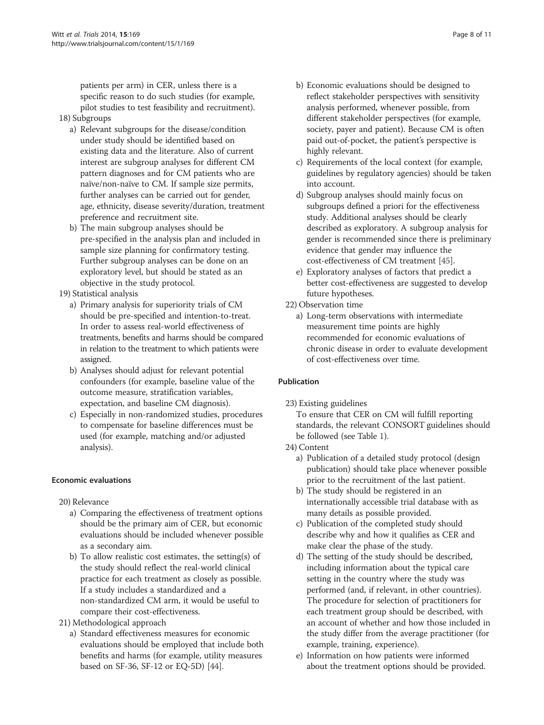patients per arm) in CER, unless there is a specific reason to do such studies (for example, pilot studies to test feasibility and recruitment). 18) Subgroups

- a) Relevant subgroups for the disease/condition under study should be identified based on existing data and the literature. Also of current interest are subgroup analyses for different CM pattern diagnoses and for CM patients who are naïve/non-naïve to CM. If sample size permits, further analyses can be carried out for gender, age, ethnicity, disease severity/duration, treatment preference and recruitment site.
- b) The main subgroup analyses should be pre-specified in the analysis plan and included in sample size planning for confirmatory testing. Further subgroup analyses can be done on an exploratory level, but should be stated as an objective in the study protocol.
- 19) Statistical analysis
	- a) Primary analysis for superiority trials of CM should be pre-specified and intention-to-treat. In order to assess real-world effectiveness of treatments, benefits and harms should be compared in relation to the treatment to which patients were assigned.
	- b) Analyses should adjust for relevant potential confounders (for example, baseline value of the outcome measure, stratification variables, expectation, and baseline CM diagnosis).
	- c) Especially in non-randomized studies, procedures to compensate for baseline differences must be used (for example, matching and/or adjusted analysis).

#### Economic evaluations

- 20) Relevance
	- a) Comparing the effectiveness of treatment options should be the primary aim of CER, but economic evaluations should be included whenever possible as a secondary aim.
	- b) To allow realistic cost estimates, the setting(s) of the study should reflect the real-world clinical practice for each treatment as closely as possible. If a study includes a standardized and a non-standardized CM arm, it would be useful to compare their cost-effectiveness.
- 21) Methodological approach
	- a) Standard effectiveness measures for economic evaluations should be employed that include both benefits and harms (for example, utility measures based on SF-36, SF-12 or EQ-5D) [44].
- b) Economic evaluations should be designed to reflect stakeholder perspectives with sensitivity analysis performed, whenever possible, from different stakeholder perspectives (for example, society, payer and patient). Because CM is often paid out-of-pocket, the patient's perspective is highly relevant.
- c) Requirements of the local context (for example, guidelines by regulatory agencies) should be taken into account.
- d) Subgroup analyses should mainly focus on subgroups defined a priori for the effectiveness study. Additional analyses should be clearly described as exploratory. A subgroup analysis for gender is recommended since there is preliminary evidence that gender may influence the cost-effectiveness of CM treatment [45].
- e) Exploratory analyses of factors that predict a better cost-effectiveness are suggested to develop future hypotheses.
- 22) Observation time
	- a) Long-term observations with intermediate measurement time points are highly recommended for economic evaluations of chronic disease in order to evaluate development of cost-effectiveness over time.

#### Publication

23) Existing guidelines

To ensure that CER on CM will fulfill reporting standards, the relevant CONSORT guidelines should be followed (see Table 1).

- 24) Content
	- a) Publication of a detailed study protocol (design publication) should take place whenever possible prior to the recruitment of the last patient.
	- b) The study should be registered in an internationally accessible trial database with as many details as possible provided.
	- c) Publication of the completed study should describe why and how it qualifies as CER and make clear the phase of the study.
	- d) The setting of the study should be described, including information about the typical care setting in the country where the study was performed (and, if relevant, in other countries). The procedure for selection of practitioners for each treatment group should be described, with an account of whether and how those included in the study differ from the average practitioner (for example, training, experience).
	- e) Information on how patients were informed about the treatment options should be provided.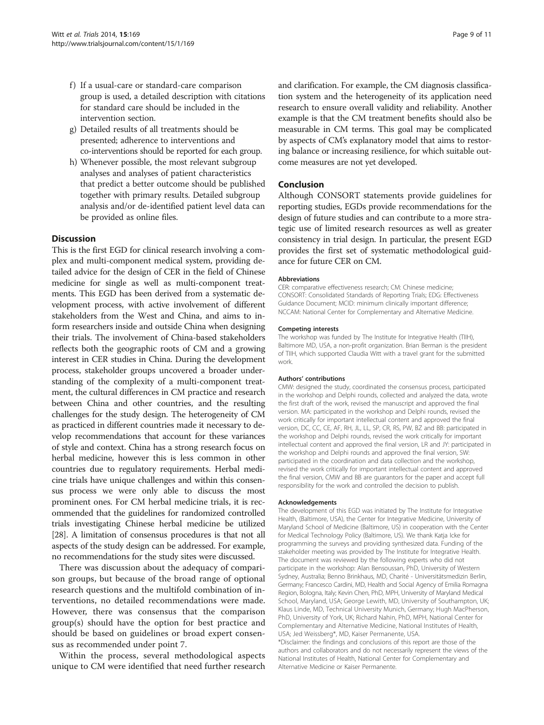- f) If a usual-care or standard-care comparison group is used, a detailed description with citations for standard care should be included in the intervention section.
- g) Detailed results of all treatments should be presented; adherence to interventions and co-interventions should be reported for each group.
- h) Whenever possible, the most relevant subgroup analyses and analyses of patient characteristics that predict a better outcome should be published together with primary results. Detailed subgroup analysis and/or de-identified patient level data can be provided as online files.

#### **Discussion**

This is the first EGD for clinical research involving a complex and multi-component medical system, providing detailed advice for the design of CER in the field of Chinese medicine for single as well as multi-component treatments. This EGD has been derived from a systematic development process, with active involvement of different stakeholders from the West and China, and aims to inform researchers inside and outside China when designing their trials. The involvement of China-based stakeholders reflects both the geographic roots of CM and a growing interest in CER studies in China. During the development process, stakeholder groups uncovered a broader understanding of the complexity of a multi-component treatment, the cultural differences in CM practice and research between China and other countries, and the resulting challenges for the study design. The heterogeneity of CM as practiced in different countries made it necessary to develop recommendations that account for these variances of style and context. China has a strong research focus on herbal medicine, however this is less common in other countries due to regulatory requirements. Herbal medicine trials have unique challenges and within this consensus process we were only able to discuss the most prominent ones. For CM herbal medicine trials, it is recommended that the guidelines for randomized controlled trials investigating Chinese herbal medicine be utilized [28]. A limitation of consensus procedures is that not all aspects of the study design can be addressed. For example, no recommendations for the study sites were discussed.

There was discussion about the adequacy of comparison groups, but because of the broad range of optional research questions and the multifold combination of interventions, no detailed recommendations were made. However, there was consensus that the comparison group(s) should have the option for best practice and should be based on guidelines or broad expert consensus as recommended under point 7.

Within the process, several methodological aspects unique to CM were identified that need further research and clarification. For example, the CM diagnosis classification system and the heterogeneity of its application need research to ensure overall validity and reliability. Another example is that the CM treatment benefits should also be measurable in CM terms. This goal may be complicated by aspects of CM's explanatory model that aims to restoring balance or increasing resilience, for which suitable outcome measures are not yet developed.

#### Conclusion

Although CONSORT statements provide guidelines for reporting studies, EGDs provide recommendations for the design of future studies and can contribute to a more strategic use of limited research resources as well as greater consistency in trial design. In particular, the present EGD provides the first set of systematic methodological guidance for future CER on CM.

#### Abbreviations

CER: comparative effectiveness research; CM: Chinese medicine; CONSORT: Consolidated Standards of Reporting Trials; EDG: Effectiveness Guidance Document; MCID: minimum clinically important difference; NCCAM: National Center for Complementary and Alternative Medicine.

#### Competing interests

The workshop was funded by The Institute for Integrative Health (TIIH), Baltimore MD, USA, a non-profit organization. Brian Berman is the president of TIIH, which supported Claudia Witt with a travel grant for the submitted work.

#### Authors' contributions

CMW: designed the study, coordinated the consensus process, participated in the workshop and Delphi rounds, collected and analyzed the data, wrote the first draft of the work, revised the manuscript and approved the final version. MA: participated in the workshop and Delphi rounds, revised the work critically for important intellectual content and approved the final version, DC, CC, CE, AF, RH, JL, LL, SP, CR, RS, PW, BZ and BB: participated in the workshop and Delphi rounds, revised the work critically for important intellectual content and approved the final version, LR and JY: participated in the workshop and Delphi rounds and approved the final version, SW: participated in the coordination and data collection and the workshop, revised the work critically for important intellectual content and approved the final version, CMW and BB are guarantors for the paper and accept full responsibility for the work and controlled the decision to publish.

#### Acknowledgements

The development of this EGD was initiated by The Institute for Integrative Health, (Baltimore, USA), the Center for Integrative Medicine, University of Maryland School of Medicine (Baltimore, US) in cooperation with the Center for Medical Technology Policy (Baltimore, US). We thank Katja Icke for programming the surveys and providing synthesized data. Funding of the stakeholder meeting was provided by The Institute for Integrative Health. The document was reviewed by the following experts who did not participate in the workshop: Alan Bensoussan, PhD, University of Western Sydney, Australia; Benno Brinkhaus, MD, Charité - Universitätsmedizin Berlin, Germany; Francesco Cardini, MD, Health and Social Agency of Emilia Romagna Region, Bologna, Italy; Kevin Chen, PhD, MPH, University of Maryland Medical School, Maryland, USA; George Lewith, MD, University of Southampton, UK; Klaus Linde, MD, Technical University Munich, Germany; Hugh MacPherson, PhD, University of York, UK; Richard Nahin, PhD, MPH, National Center for Complementary and Alternative Medicine, National Institutes of Health, USA; Jed Weissberg\*, MD, Kaiser Permanente, USA.

\*Disclaimer: the findings and conclusions of this report are those of the authors and collaborators and do not necessarily represent the views of the National Institutes of Health, National Center for Complementary and Alternative Medicine or Kaiser Permanente.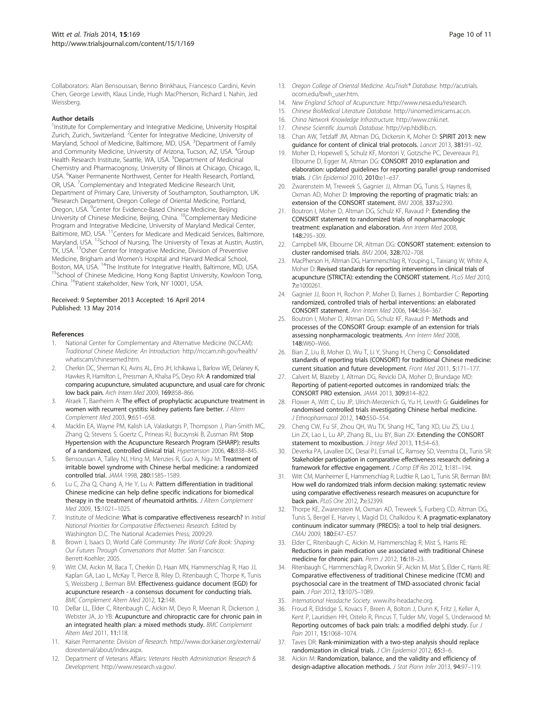Collaborators: Alan Bensoussan, Benno Brinkhaus, Francesco Cardini, Kevin Chen, George Lewith, Klaus Linde, Hugh MacPherson, Richard L Nahin, Jed Weissberg.

#### Author details

<sup>1</sup>Institute for Complementary and Integrative Medicine, University Hospital Zurich, Zurich, Switzerland. <sup>2</sup>Center for Integrative Medicine, University of Maryland, School of Medicine, Baltimore, MD, USA. <sup>3</sup>Department of Family and Community Medicine, University of Arizona, Tucson, AZ, USA. <sup>4</sup>Group Health Research Institute, Seattle, WA, USA. <sup>5</sup>Department of Medicinal Chemistry and Pharmacognosy, University of Illinois at Chicago, Chicago, IL, USA. <sup>6</sup>Kaiser Permanente Northwest, Center for Health Research, Portland, OR, USA. <sup>7</sup> Complementary and Integrated Medicine Research Unit, Department of Primary Care, University of Southampton, Southampton, UK. <sup>8</sup>Research Department, Oregon College of Oriental Medicine, Portland, Oregon, USA. <sup>9</sup>Center for Evidence-Based Chinese Medicine, Beijing University of Chinese Medicine, Beijing, China. <sup>10</sup>Complementary Medicine Program and Integrative Medicine, University of Maryland Medical Center, Baltimore, MD, USA. <sup>11</sup>Centers for Medicare and Medicaid Services, Baltimore, Maryland, USA. <sup>12</sup>School of Nursing, The University of Texas at Austin, Austin, TX, USA. <sup>13</sup>Osher Center for Integrative Medicine, Division of Preventive Medicine, Brigham and Women's Hospital and Harvard Medical School, Boston, MA, USA. <sup>14</sup>The Institute for Integrative Health, Baltimore, MD, USA.<br><sup>15</sup>School of Chinese Medicine, Hong Kong Baptist University, Kowloon Tong, China. 16Patient stakeholder, New York, NY 10001, USA.

#### Received: 9 September 2013 Accepted: 16 April 2014 Published: 13 May 2014

#### References

- National Center for Complementary and Alternative Medicine (NCCAM): Traditional Chinese Medicine: An Introduction. [http://nccam.nih.gov/health/](http://nccam.nih.gov/health/whatiscam/chinesemed.htm) [whatiscam/chinesemed.htm](http://nccam.nih.gov/health/whatiscam/chinesemed.htm).
- 2. Cherkin DC, Sherman KJ, Avins AL, Erro JH, Ichikawa L, Barlow WE, Delaney K, Hawkes R, Hamilton L, Pressman A, Khalsa PS, Deyo RA: A randomized trial comparing acupuncture, simulated acupuncture, and usual care for chronic low back pain. Arch Intern Med 2009, 169:858-866.
- Alraek T, Baerheim A: The effect of prophylactic acupuncture treatment in women with recurrent cystitis: kidney patients fare better. J Altern Complement Med 2003, 9:651–658.
- 4. Macklin EA, Wayne PM, Kalish LA, Valaskatgis P, Thompson J, Pian-Smith MC, Zhang Q, Stevens S, Goertz C, Prineas RJ, Buczynski B, Zusman RM: Stop Hypertension with the Acupuncture Research Program (SHARP): results of a randomized, controlled clinical trial. Hypertension 2006, 48:838–845.
- Bensoussan A, Talley NJ, Hing M, Menzies R, Guo A, Ngu M: Treatment of irritable bowel syndrome with Chinese herbal medicine: a randomized controlled trial. JAMA 1998, 280:1585–1589.
- 6. Lu C, Zha Q, Chang A, He Y, Lu A: Pattern differentiation in traditional Chinese medicine can help define specific indications for biomedical therapy in the treatment of rheumatoid arthritis. J Altern Complement Med 2009, 15:1021–1025.
- Institute of Medicine: What is comparative effectiveness research? In Initial National Priorities for Comparative Effectiveness Research. Edited by Washington D.C. The National Academies Press; 2009:29.
- 8. Brown J, Isaacs D, World Café Community: The World Cafe Book: Shaping Our Futures Through Conversations that Matter. San Francisco: Berrett-Koehler; 2005.
- 9. Witt CM, Aickin M, Baca T, Cherkin D, Haan MN, Hammerschlag R, Hao JJ, Kaplan GA, Lao L, McKay T, Pierce B, Riley D, Ritenbaugh C, Thorpe K, Tunis S, Weissberg J, Berman BM: Effectiveness guidance document (EGD) for acupuncture research - a consensus document for conducting trials. BMC Complement Altern Med 2012, 12:148.
- 10. DeBar LL, Elder C, Ritenbaugh C, Aickin M, Deyo R, Meenan R, Dickerson J, Webster JA, Jo YB: Acupuncture and chiropractic care for chronic pain in an integrated health plan: a mixed methods study. BMC Complement Altern Med 2011, 11:118.
- 11. Kaiser Permanente: Division of Research. [http://www.dor.kaiser.org/external/](http://www.dor.kaiser.org/external/dorexternal/about/index.aspx) [dorexternal/about/index.aspx.](http://www.dor.kaiser.org/external/dorexternal/about/index.aspx)
- 12. Department of Veterans Affairs: Veterans Health Administration Research & Development. [http://www.research.va.gov/.](http://www.research.va.gov/)
- 13. Oregon College of Oriental Medicine. AcuTrials® Database. [http://acutrials.](http://acutrials.ocom.edu/bwh_user.htm) [ocom.edu/bwh\\_user.htm.](http://acutrials.ocom.edu/bwh_user.htm)
- 14. New England School of Acupuncture. <http://www.nesa.edu/research>.
- 15. Chinese BioMedical Literature Database. <http://sinomed.imicams.ac.cn>.
- 16. China Network Knowledge Infrastructure. [http://www.cnki.net.](http://www.cnki.net)
- 17. Chinese Scientific Journals Database. [http://vip.hbdlib.cn.](http://vip.hbdlib.cn)
- 18. Chan AW, Tetzlaff JM, Altman DG, Dickersin K, Moher D: SPIRIT 2013: new guidance for content of clinical trial protocols. Lancet 2013, 381:91–92.
- 19. Moher D, Hopewell S, Schulz KF, Montori V, Gotzsche PC, Devereaux PJ, Elbourne D, Egger M, Altman DG: CONSORT 2010 explanation and elaboration: updated guidelines for reporting parallel group randomised trials. J Clin Epidemiol 2010, 2010:e1–e37.
- 20. Zwarenstein M, Treweek S, Gagnier JJ, Altman DG, Tunis S, Haynes B, Oxman AD, Moher D: Improving the reporting of pragmatic trials: an extension of the CONSORT statement. BMJ 2008, 337:a2390.
- 21. Boutron I, Moher D, Altman DG, Schulz KF, Ravaud P: Extending the CONSORT statement to randomized trials of nonpharmacologic treatment: explanation and elaboration. Ann Intern Med 2008, 148:295–309.
- 22. Campbell MK, Elbourne DR, Altman DG: CONSORT statement: extension to cluster randomised trials. BMJ 2004, 328:702–708.
- 23. MacPherson H, Altman DG, Hammerschlag R, Youping L, Taixiang W, White A, Moher D: Revised standards for reporting interventions in clinical trials of acupuncture (STRICTA): extending the CONSORT statement. PLoS Med 2010, 7:e1000261.
- 24. Gagnier JJ, Boon H, Rochon P, Moher D, Barnes J, Bombardier C: Reporting randomized, controlled trials of herbal interventions: an elaborated CONSORT statement. Ann Intern Med 2006, 144:364–367.
- 25. Boutron I, Moher D, Altman DG, Schulz KF, Ravaud P: Methods and processes of the CONSORT Group: example of an extension for trials assessing nonpharmacologic treatments. Ann Intern Med 2008, 148:W60–W66.
- 26. Bian Z, Liu B, Moher D, Wu T, Li Y, Shang H, Cheng C: Consolidated standards of reporting trials (CONSORT) for traditional Chinese medicine: current situation and future development. Front Med 2011, 5:171–177.
- 27. Calvert M, Blazeby J, Altman DG, Revicki DA, Moher D, Brundage MD: Reporting of patient-reported outcomes in randomized trials: the CONSORT PRO extension. JAMA 2013, 309:814–822.
- 28. Flower A, Witt C, Liu JP, Ulrich-Merzenich G, Yu H, Lewith G: Guidelines for randomised controlled trials investigating Chinese herbal medicine. J Ethnopharmacol 2012, 140:550–554.
- 29. Cheng CW, Fu SF, Zhou QH, Wu TX, Shang HC, Tang XD, Liu ZS, Liu J, Lin ZX, Lao L, Lu AP, Zhang BL, Liu BY, Bian ZX: Extending the CONSORT statement to moxibustion. J Integr Med 2013, 11:54-63.
- 30. Deverka PA, Lavallee DC, Desai PJ, Esmail LC, Ramsey SD, Veenstra DL, Tunis SR: Stakeholder participation in comparative effectiveness research: defining a framework for effective engagement. J Comp Eff Res 2012, 1:181-194.
- 31. Witt CM, Manheimer E, Hammerschlag R, Ludtke R, Lao L, Tunis SR, Berman BM: How well do randomized trials inform decision making: systematic review using comparative effectiveness research measures on acupuncture for back pain. PLoS One 2012, 7:e32399.
- 32. Thorpe KE, Zwarenstein M, Oxman AD, Treweek S, Furberg CD, Altman DG, Tunis S, Bergel E, Harvey I, Magid DJ, Chalkidou K: A pragmatic-explanatory continuum indicator summary (PRECIS): a tool to help trial designers. CMAJ 2009, 180:E47–E57.
- 33. Elder C, Ritenbaugh C, Aickin M, Hammerschlag R, Mist S, Harris RE: Reductions in pain medication use associated with traditional Chinese medicine for chronic pain. Perm J 2012, 16:18-23.
- 34. Ritenbaugh C, Hammerschlag R, Dworkin SF, Aickin M, Mist S, Elder C, Harris RE: Comparative effectiveness of traditional Chinese medicine (TCM) and psychosocial care in the treatment of TMD-associated chronic facial pain. J Pain 2012, 13:1075–1089.
- 35. International Headache Society. [www.ihs-headache.org.](http://www.ihs-headache.org)
- 36. Froud R, Eldridge S, Kovacs F, Breen A, Bolton J, Dunn K, Fritz J, Keller A, Kent P, Lauridsen HH, Ostelo R, Pincus T, Tulder MV, Vogel S, Underwood M: Reporting outcomes of back pain trials: a modified delphi study. Eur J Pain 2011, 15:1068-1074.
- 37. Taves DR: Rank-minimization with a two-step analysis should replace randomization in clinical trials. J Clin Epidemiol 2012, 65:3–6.
- 38. Aickin M: Randomization, balance, and the validity and efficiency of design-adaptive allocation methods. J Stat Plann Infer 2013, 94:97-119.